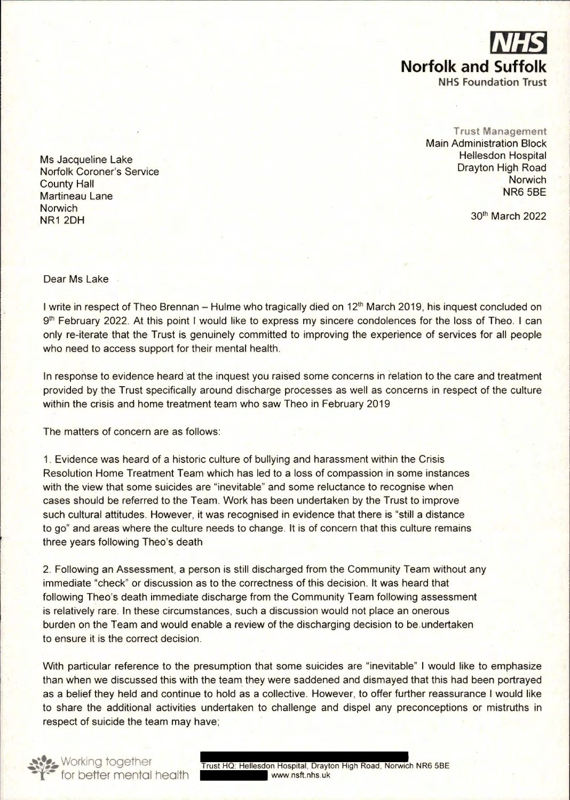

**Trust Management**  Main Administration Block Hellesdon Hospital Drayton High Road **Norwich** NR6 5BE

30" March 2022

Ms Jacqueline Lake Norfolk Coroner's Service County Hall Martineau Lane **Norwich** NR12DH

Dear Ms Lake

I write in respect of Theo Brennan - Hulme who tragically died on 12<sup>th</sup> March 2019, his inquest concluded on 9<sup>th</sup> February 2022. At this point I would like to express my sincere condolences for the loss of Theo. I can only re-iterate that the Trust is genuinely committed to improving the experience of services for all people who need to access support for their mental health.

In response to evidence heard at the inquest you raised some concerns in relation to the care and treatment provided by the Trust specifically around discharge processes as well as concerns in respect of the culture within the crisis and home treatment team who saw Theo in February 2019

The matters of concern are as follows:

1. Evidence was heard of a historic culture of bullying and harassment within the Crisis Resolution Home Treatment Team which has led to a loss of compassion in some instances with the view that some suicides are "inevitable" and some reluctance to recognise when cases should be referred to the Team. Work has been undertaken by the Trust to improve such cultural attitudes. However, it was recognised in evidence that there is "still a distance to go" and areas where the culture needs to change. It is of concern that this culture remains three years following Theo's death

2. Following an Assessment, a person is still discharged from the Community Team without any immediate "check" or discussion as to the correctness of this decision. It was heard that following Theo's death immediate discharge from the Community Team following assessment is relatively rare. In these circumstances, such a discussion would not place an onerous burden on the Team and would enable a review of the discharging decision to be.undertaken to ensure it is the correct decision.

With particular reference to the presumption that some suicides are "inevitable" I would like to emphasize than when we discussed this with the team they were saddened and dismayed that this had been portrayed as a belief they held and continue to hold as a collective. However, to offer further reassurance I would like to share the additional activities undertaken to challenge and dispel any preconceptions or mistruths in respect of suicide the team may have;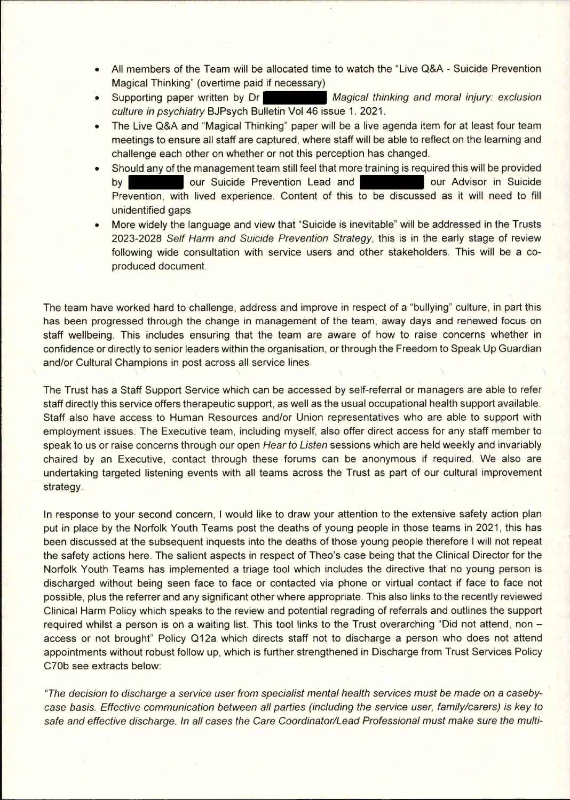- All members of the Team will be allocated time to watch the "Live Q&A Suicide Prevention Magical Thinking" (overtime paid if necessary)
- Supporting paper written by Dr *Magical thinking and moral injury: exclusion culture in psychiatry* BJPsych Bulletin Vol 46 issue 1. 2021.
- The Live Q&A and "Magical Thinking" paper will be a live agenda item for at least four team meetings to ensure all staff are captured, where staff will be able to reflect on the learning and challenge each other on whether or not this perception has changed.
- Should any of the management team still feel that more training is required this will be provided by our Suicide Prevention Lead and **our Advisor in Suicide** Prevention, with lived experience. Content of this to be discussed as it will need to fill unidentified gaps
- More widely the language and view that "Suicide is inevitable" will be addressed in the Trusts 2023-2028 *Self Harm and Suicide Prevention Strategy,* this is in the early stage of review following wide consultation with service users and other stakeholders. This will be a coproduced document.

The team have worked hard to challenge, address and improve in respect of a "bullying" culture, in part this has been progressed through the change in management of the team, away days and renewed focus on staff wellbeing. This includes ensuring that the team are aware of how to raise concerns whether in confidence or directly to senior leaders within the organisation, or through the Freedom to Speak Up Guardian and/or Cultural Champions in post across all service lines.

The Trust has a Staff Support Service which can be accessed by self-referral or managers are able to refer staff directly this service offers therapeutic support, as well as the usual occupational health support available. Staff also have access to Human Resources and/or Union representatives who are able to support with employment issues. The Executive team, including myself, also offer direct access for any staff member to speak 'to us or raise concerns through our open *Hear to Listen* sessions which are held weekly and invariably chaired by an Executive, contact through these forums can be anonymous if required. We also are undertaking targeted listening events with all teams across the Trust as part of our cultural improvement strategy.

In response to your second concern, I would like to draw your attention to the extensive safety action plan put in place by the Norfolk Youth Teams post the deaths of young people in those teams in 2021, this has been discussed at the subsequent inquests into the deaths of those young people therefore I will not repeat the safety actions here. The salient aspects in respect of Theo's case being that the Clinical Director for the Norfolk Youth Teams has implemented a triage tool which includes the directive that no young person is discharged without being seen face to face or contacted via phone or virtual contact if face to face not possible, plus the referrer and any significant other where appropriate. This also links to the recently reviewed Clinical Harm Policy which speaks to the review and potential regrading of referrals and outlines the support required whilst a person is on a waiting list. This tool links to the Trust overarching "Did not attend, non access or not brought" Policy Q12a which directs staff not to discharge a person who does not attend appointments without robust follow up, which is further strengthened in Discharge from Trust Services Policy C70b see extracts below:

*"The decision to discharge* a *service user from specialist mental health services must be made on* a *casebycase basis. Effective communication between all parties (including the service user, family/carers) is key to safe and effective discharge. In all cases the Care Coordinator/Lead Professional must make sure the multi-*